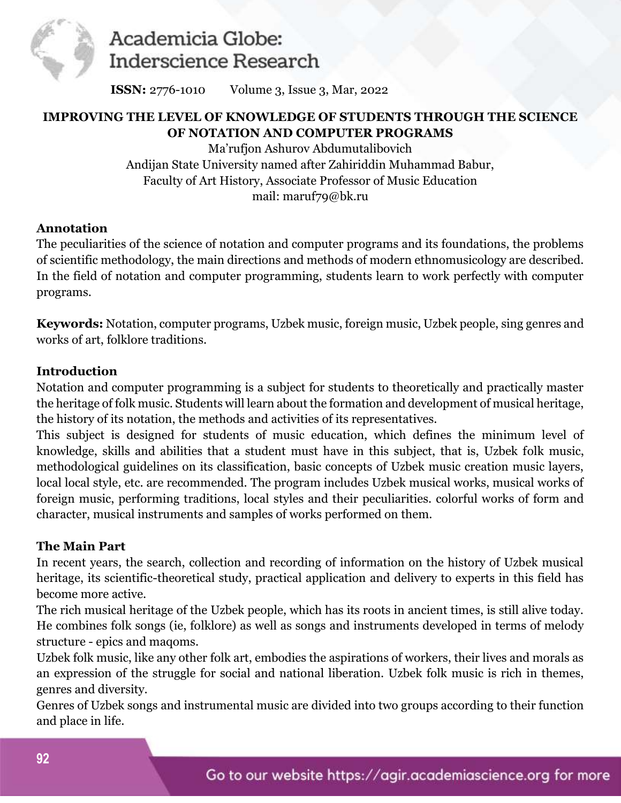

**ISSN:** 2776-1010 Volume 3, Issue 3, Mar, 2022

### **IMPROVING THE LEVEL OF KNOWLEDGE OF STUDENTS THROUGH THE SCIENCE OF NOTATION AND COMPUTER PROGRAMS**

Ma'rufjon Ashurov Abdumutalibovich Andijan State University named after Zahiriddin Muhammad Babur, Faculty of Art History, Associate Professor of Music Education mail: [maruf79@bk.ru](mailto:maruf79@bk.ru) 

### **Annotation**

The peculiarities of the science of notation and computer programs and its foundations, the problems of scientific methodology, the main directions and methods of modern ethnomusicology are described. In the field of notation and computer programming, students learn to work perfectly with computer programs.

**Keywords:** Notation, computer programs, Uzbek music, foreign music, Uzbek people, sing genres and works of art, folklore traditions.

### **Introduction**

Notation and computer programming is a subject for students to theoretically and practically master the heritage of folk music. Students will learn about the formation and development of musical heritage, the history of its notation, the methods and activities of its representatives.

This subject is designed for students of music education, which defines the minimum level of knowledge, skills and abilities that a student must have in this subject, that is, Uzbek folk music, methodological guidelines on its classification, basic concepts of Uzbek music creation music layers, local local style, etc. are recommended. The program includes Uzbek musical works, musical works of foreign music, performing traditions, local styles and their peculiarities. colorful works of form and character, musical instruments and samples of works performed on them.

#### **The Main Part**

In recent years, the search, collection and recording of information on the history of Uzbek musical heritage, its scientific-theoretical study, practical application and delivery to experts in this field has become more active.

The rich musical heritage of the Uzbek people, which has its roots in ancient times, is still alive today. He combines folk songs (ie, folklore) as well as songs and instruments developed in terms of melody structure - epics and maqoms.

Uzbek folk music, like any other folk art, embodies the aspirations of workers, their lives and morals as an expression of the struggle for social and national liberation. Uzbek folk music is rich in themes, genres and diversity.

Genres of Uzbek songs and instrumental music are divided into two groups according to their function and place in life.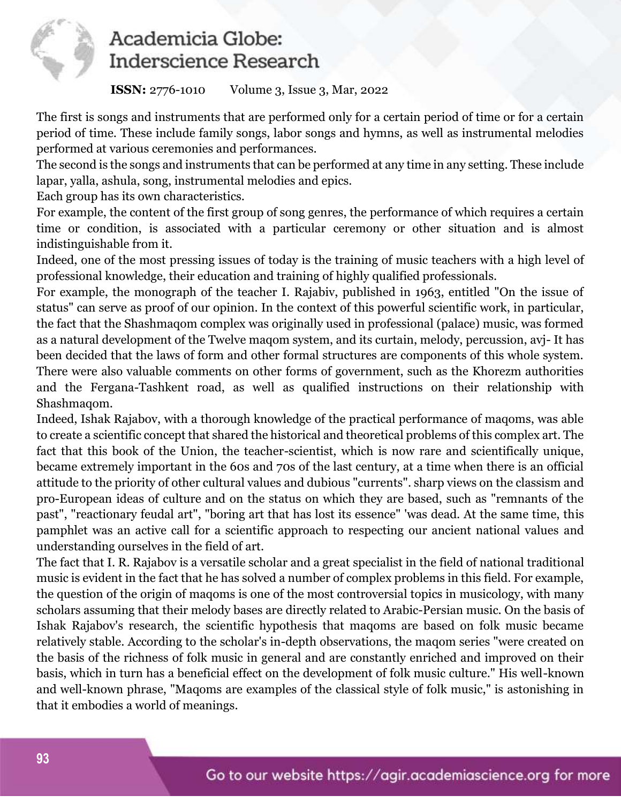

**ISSN:** 2776-1010 Volume 3, Issue 3, Mar, 2022

The first is songs and instruments that are performed only for a certain period of time or for a certain period of time. These include family songs, labor songs and hymns, as well as instrumental melodies performed at various ceremonies and performances.

The second is the songs and instruments that can be performed at any time in any setting. These include lapar, yalla, ashula, song, instrumental melodies and epics.

Each group has its own characteristics.

For example, the content of the first group of song genres, the performance of which requires a certain time or condition, is associated with a particular ceremony or other situation and is almost indistinguishable from it.

Indeed, one of the most pressing issues of today is the training of music teachers with a high level of professional knowledge, their education and training of highly qualified professionals.

For example, the monograph of the teacher I. Rajabiv, published in 1963, entitled "On the issue of status" can serve as proof of our opinion. In the context of this powerful scientific work, in particular, the fact that the Shashmaqom complex was originally used in professional (palace) music, was formed as a natural development of the Twelve maqom system, and its curtain, melody, percussion, avj- It has been decided that the laws of form and other formal structures are components of this whole system. There were also valuable comments on other forms of government, such as the Khorezm authorities and the Fergana-Tashkent road, as well as qualified instructions on their relationship with Shashmaqom.

Indeed, Ishak Rajabov, with a thorough knowledge of the practical performance of maqoms, was able to create a scientific concept that shared the historical and theoretical problems of this complex art. The fact that this book of the Union, the teacher-scientist, which is now rare and scientifically unique, became extremely important in the 60s and 70s of the last century, at a time when there is an official attitude to the priority of other cultural values and dubious "currents". sharp views on the classism and pro-European ideas of culture and on the status on which they are based, such as "remnants of the past", "reactionary feudal art", "boring art that has lost its essence" 'was dead. At the same time, this pamphlet was an active call for a scientific approach to respecting our ancient national values and understanding ourselves in the field of art.

The fact that I. R. Rajabov is a versatile scholar and a great specialist in the field of national traditional music is evident in the fact that he has solved a number of complex problems in this field. For example, the question of the origin of maqoms is one of the most controversial topics in musicology, with many scholars assuming that their melody bases are directly related to Arabic-Persian music. On the basis of Ishak Rajabov's research, the scientific hypothesis that maqoms are based on folk music became relatively stable. According to the scholar's in-depth observations, the maqom series "were created on the basis of the richness of folk music in general and are constantly enriched and improved on their basis, which in turn has a beneficial effect on the development of folk music culture." His well-known and well-known phrase, "Maqoms are examples of the classical style of folk music," is astonishing in that it embodies a world of meanings.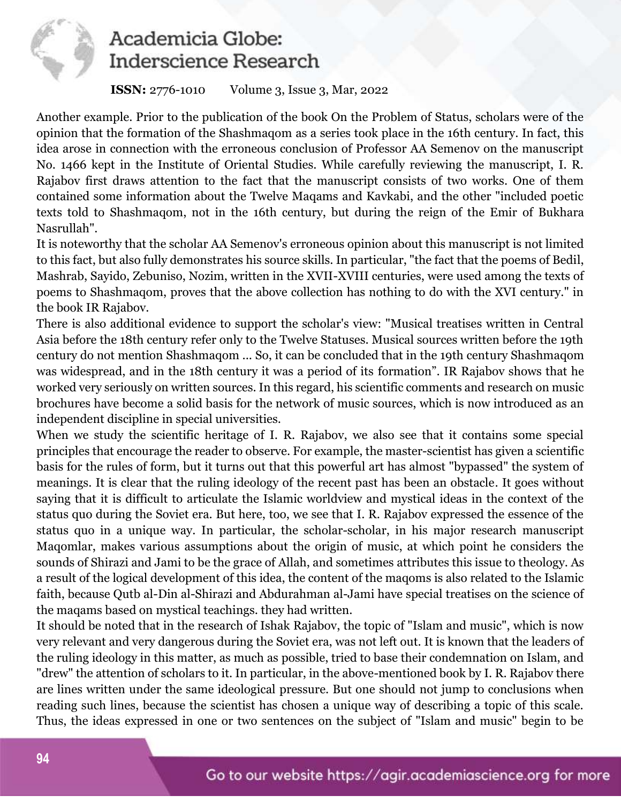

### **ISSN:** 2776-1010 Volume 3, Issue 3, Mar, 2022

Another example. Prior to the publication of the book On the Problem of Status, scholars were of the opinion that the formation of the Shashmaqom as a series took place in the 16th century. In fact, this idea arose in connection with the erroneous conclusion of Professor AA Semenov on the manuscript No. 1466 kept in the Institute of Oriental Studies. While carefully reviewing the manuscript, I. R. Rajabov first draws attention to the fact that the manuscript consists of two works. One of them contained some information about the Twelve Maqams and Kavkabi, and the other "included poetic texts told to Shashmaqom, not in the 16th century, but during the reign of the Emir of Bukhara Nasrullah".

It is noteworthy that the scholar AA Semenov's erroneous opinion about this manuscript is not limited to this fact, but also fully demonstrates his source skills. In particular, "the fact that the poems of Bedil, Mashrab, Sayido, Zebuniso, Nozim, written in the XVII-XVIII centuries, were used among the texts of poems to Shashmaqom, proves that the above collection has nothing to do with the XVI century." in the book IR Rajabov.

There is also additional evidence to support the scholar's view: "Musical treatises written in Central Asia before the 18th century refer only to the Twelve Statuses. Musical sources written before the 19th century do not mention Shashmaqom ... So, it can be concluded that in the 19th century Shashmaqom was widespread, and in the 18th century it was a period of its formation". IR Rajabov shows that he worked very seriously on written sources. In this regard, his scientific comments and research on music brochures have become a solid basis for the network of music sources, which is now introduced as an independent discipline in special universities.

When we study the scientific heritage of I. R. Rajabov, we also see that it contains some special principles that encourage the reader to observe. For example, the master-scientist has given a scientific basis for the rules of form, but it turns out that this powerful art has almost "bypassed" the system of meanings. It is clear that the ruling ideology of the recent past has been an obstacle. It goes without saying that it is difficult to articulate the Islamic worldview and mystical ideas in the context of the status quo during the Soviet era. But here, too, we see that I. R. Rajabov expressed the essence of the status quo in a unique way. In particular, the scholar-scholar, in his major research manuscript Maqomlar, makes various assumptions about the origin of music, at which point he considers the sounds of Shirazi and Jami to be the grace of Allah, and sometimes attributes this issue to theology. As a result of the logical development of this idea, the content of the maqoms is also related to the Islamic faith, because Qutb al-Din al-Shirazi and Abdurahman al-Jami have special treatises on the science of the maqams based on mystical teachings. they had written.

It should be noted that in the research of Ishak Rajabov, the topic of "Islam and music", which is now very relevant and very dangerous during the Soviet era, was not left out. It is known that the leaders of the ruling ideology in this matter, as much as possible, tried to base their condemnation on Islam, and "drew" the attention of scholars to it. In particular, in the above-mentioned book by I. R. Rajabov there are lines written under the same ideological pressure. But one should not jump to conclusions when reading such lines, because the scientist has chosen a unique way of describing a topic of this scale. Thus, the ideas expressed in one or two sentences on the subject of "Islam and music" begin to be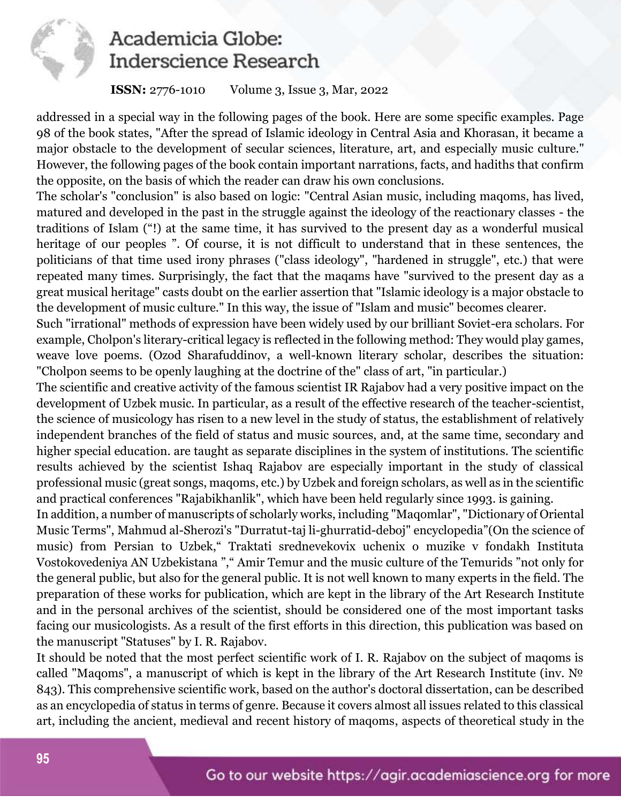

### **ISSN:** 2776-1010 Volume 3, Issue 3, Mar, 2022

addressed in a special way in the following pages of the book. Here are some specific examples. Page 98 of the book states, "After the spread of Islamic ideology in Central Asia and Khorasan, it became a major obstacle to the development of secular sciences, literature, art, and especially music culture." However, the following pages of the book contain important narrations, facts, and hadiths that confirm the opposite, on the basis of which the reader can draw his own conclusions.

The scholar's "conclusion" is also based on logic: "Central Asian music, including maqoms, has lived, matured and developed in the past in the struggle against the ideology of the reactionary classes - the traditions of Islam ("!) at the same time, it has survived to the present day as a wonderful musical heritage of our peoples ". Of course, it is not difficult to understand that in these sentences, the politicians of that time used irony phrases ("class ideology", "hardened in struggle", etc.) that were repeated many times. Surprisingly, the fact that the maqams have "survived to the present day as a great musical heritage" casts doubt on the earlier assertion that "Islamic ideology is a major obstacle to the development of music culture." In this way, the issue of "Islam and music" becomes clearer.

Such "irrational" methods of expression have been widely used by our brilliant Soviet-era scholars. For example, Cholpon's literary-critical legacy is reflected in the following method: They would play games, weave love poems. (Ozod Sharafuddinov, a well-known literary scholar, describes the situation: "Cholpon seems to be openly laughing at the doctrine of the" class of art, "in particular.)

The scientific and creative activity of the famous scientist IR Rajabov had a very positive impact on the development of Uzbek music. In particular, as a result of the effective research of the teacher-scientist, the science of musicology has risen to a new level in the study of status, the establishment of relatively independent branches of the field of status and music sources, and, at the same time, secondary and higher special education. are taught as separate disciplines in the system of institutions. The scientific results achieved by the scientist Ishaq Rajabov are especially important in the study of classical professional music (great songs, maqoms, etc.) by Uzbek and foreign scholars, as well as in the scientific and practical conferences "Rajabikhanlik", which have been held regularly since 1993. is gaining.

In addition, a number of manuscripts of scholarly works, including "Maqomlar", "Dictionary of Oriental Music Terms", Mahmud al-Sherozi's "Durratut-taj li-ghurratid-deboj" encyclopedia"(On the science of music) from Persian to Uzbek," Traktati srednevekovix uchenix o muzike v fondakh Instituta Vostokovedeniya AN Uzbekistana "," Amir Temur and the music culture of the Temurids "not only for the general public, but also for the general public. It is not well known to many experts in the field. The preparation of these works for publication, which are kept in the library of the Art Research Institute and in the personal archives of the scientist, should be considered one of the most important tasks facing our musicologists. As a result of the first efforts in this direction, this publication was based on the manuscript "Statuses" by I. R. Rajabov.

It should be noted that the most perfect scientific work of I. R. Rajabov on the subject of maqoms is called "Maqoms", a manuscript of which is kept in the library of the Art Research Institute (inv. № 843). This comprehensive scientific work, based on the author's doctoral dissertation, can be described as an encyclopedia of status in terms of genre. Because it covers almost all issues related to this classical art, including the ancient, medieval and recent history of maqoms, aspects of theoretical study in the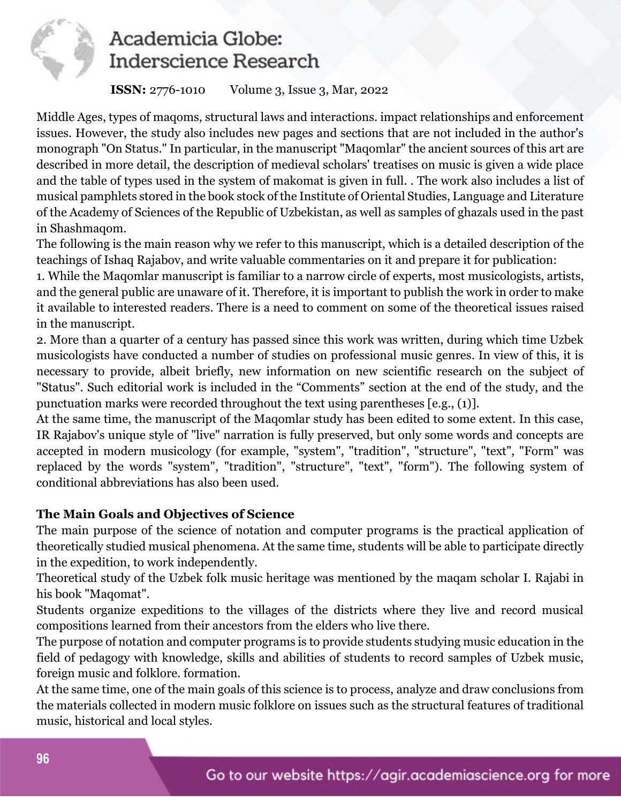

### **ISSN:** 2776-1010 Volume 3, Issue 3, Mar, 2022

Middle Ages, types of maqoms, structural laws and interactions. impact relationships and enforcement issues. However, the study also includes new pages and sections that are not included in the author's monograph "On Status." In particular, in the manuscript "Maqomlar" the ancient sources of this art are described in more detail, the description of medieval scholars' treatises on music is given a wide place and the table of types used in the system of makomat is given in full. . The work also includes a list of musical pamphlets stored in the book stock of the Institute of Oriental Studies, Language and Literature of the Academy of Sciences of the Republic of Uzbekistan, as well as samples of ghazals used in the past in Shashmaqom.

The following is the main reason why we refer to this manuscript, which is a detailed description of the teachings of Ishaq Rajabov, and write valuable commentaries on it and prepare it for publication:

1. While the Maqomlar manuscript is familiar to a narrow circle of experts, most musicologists, artists, and the general public are unaware of it. Therefore, it is important to publish the work in order to make it available to interested readers. There is a need to comment on some of the theoretical issues raised in the manuscript.

2. More than a quarter of a century has passed since this work was written, during which time Uzbek musicologists have conducted a number of studies on professional music genres. In view of this, it is necessary to provide, albeit briefly, new information on new scientific research on the subject of "Status". Such editorial work is included in the "Comments" section at the end of the study, and the punctuation marks were recorded throughout the text using parentheses [e.g., (1)].

At the same time, the manuscript of the Maqomlar study has been edited to some extent. In this case, IR Rajabov's unique style of "live" narration is fully preserved, but only some words and concepts are accepted in modern musicology (for example, "system", "tradition", "structure", "text", "Form" was replaced by the words "system", "tradition", "structure", "text", "form"). The following system of conditional abbreviations has also been used.

## **The Main Goals and Objectives of Science**

The main purpose of the science of notation and computer programs is the practical application of theoretically studied musical phenomena. At the same time, students will be able to participate directly in the expedition, to work independently.

Theoretical study of the Uzbek folk music heritage was mentioned by the maqam scholar I. Rajabi in his book "Maqomat".

Students organize expeditions to the villages of the districts where they live and record musical compositions learned from their ancestors from the elders who live there.

The purpose of notation and computer programs is to provide students studying music education in the field of pedagogy with knowledge, skills and abilities of students to record samples of Uzbek music, foreign music and folklore. formation.

At the same time, one of the main goals of this science is to process, analyze and draw conclusions from the materials collected in modern music folklore on issues such as the structural features of traditional music, historical and local styles.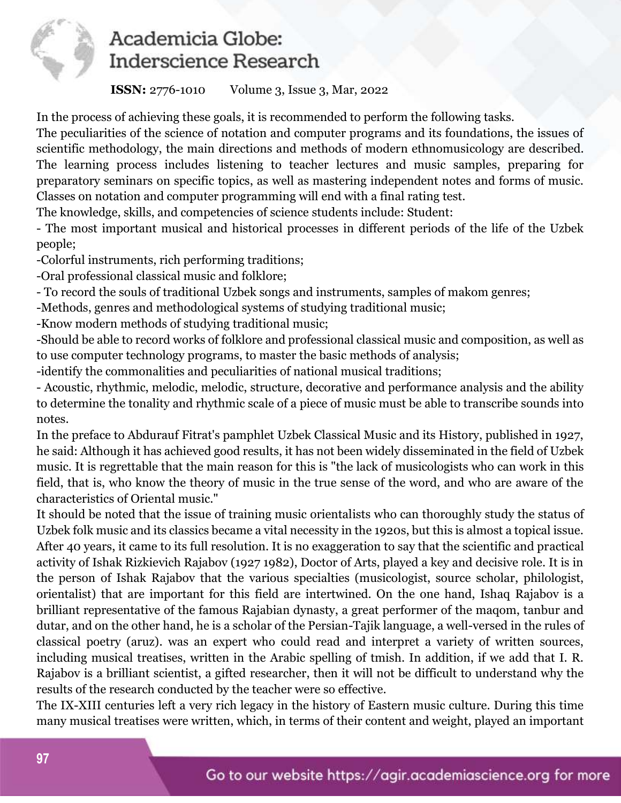

**ISSN:** 2776-1010 Volume 3, Issue 3, Mar, 2022

In the process of achieving these goals, it is recommended to perform the following tasks.

The peculiarities of the science of notation and computer programs and its foundations, the issues of scientific methodology, the main directions and methods of modern ethnomusicology are described. The learning process includes listening to teacher lectures and music samples, preparing for preparatory seminars on specific topics, as well as mastering independent notes and forms of music. Classes on notation and computer programming will end with a final rating test.

The knowledge, skills, and competencies of science students include: Student:

- The most important musical and historical processes in different periods of the life of the Uzbek people;

-Colorful instruments, rich performing traditions;

-Oral professional classical music and folklore;

- To record the souls of traditional Uzbek songs and instruments, samples of makom genres;

-Methods, genres and methodological systems of studying traditional music;

-Know modern methods of studying traditional music;

-Should be able to record works of folklore and professional classical music and composition, as well as to use computer technology programs, to master the basic methods of analysis;

-identify the commonalities and peculiarities of national musical traditions;

- Acoustic, rhythmic, melodic, melodic, structure, decorative and performance analysis and the ability to determine the tonality and rhythmic scale of a piece of music must be able to transcribe sounds into notes.

In the preface to Abdurauf Fitrat's pamphlet Uzbek Classical Music and its History, published in 1927, he said: Although it has achieved good results, it has not been widely disseminated in the field of Uzbek music. It is regrettable that the main reason for this is "the lack of musicologists who can work in this field, that is, who know the theory of music in the true sense of the word, and who are aware of the characteristics of Oriental music."

It should be noted that the issue of training music orientalists who can thoroughly study the status of Uzbek folk music and its classics became a vital necessity in the 1920s, but this is almost a topical issue. After 40 years, it came to its full resolution. It is no exaggeration to say that the scientific and practical activity of Ishak Rizkievich Rajabov (1927 1982), Doctor of Arts, played a key and decisive role. It is in the person of Ishak Rajabov that the various specialties (musicologist, source scholar, philologist, orientalist) that are important for this field are intertwined. On the one hand, Ishaq Rajabov is a brilliant representative of the famous Rajabian dynasty, a great performer of the maqom, tanbur and dutar, and on the other hand, he is a scholar of the Persian-Tajik language, a well-versed in the rules of classical poetry (aruz). was an expert who could read and interpret a variety of written sources, including musical treatises, written in the Arabic spelling of tmish. In addition, if we add that I. R. Rajabov is a brilliant scientist, a gifted researcher, then it will not be difficult to understand why the results of the research conducted by the teacher were so effective.

The IX-XIII centuries left a very rich legacy in the history of Eastern music culture. During this time many musical treatises were written, which, in terms of their content and weight, played an important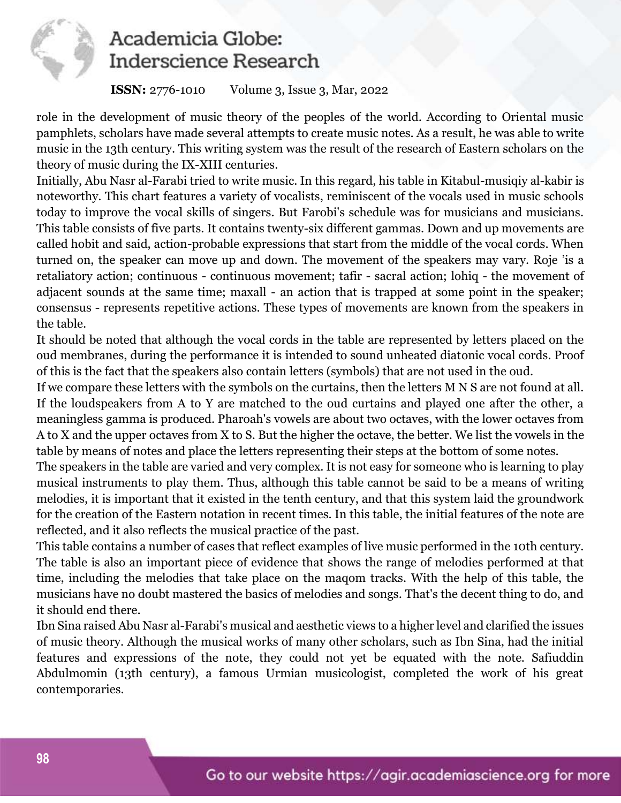

### **ISSN:** 2776-1010 Volume 3, Issue 3, Mar, 2022

role in the development of music theory of the peoples of the world. According to Oriental music pamphlets, scholars have made several attempts to create music notes. As a result, he was able to write music in the 13th century. This writing system was the result of the research of Eastern scholars on the theory of music during the IX-XIII centuries.

Initially, Abu Nasr al-Farabi tried to write music. In this regard, his table in Kitabul-musiqiy al-kabir is noteworthy. This chart features a variety of vocalists, reminiscent of the vocals used in music schools today to improve the vocal skills of singers. But Farobi's schedule was for musicians and musicians. This table consists of five parts. It contains twenty-six different gammas. Down and up movements are called hobit and said, action-probable expressions that start from the middle of the vocal cords. When turned on, the speaker can move up and down. The movement of the speakers may vary. Roje 'is a retaliatory action; continuous - continuous movement; tafir - sacral action; lohiq - the movement of adjacent sounds at the same time; maxall - an action that is trapped at some point in the speaker; consensus - represents repetitive actions. These types of movements are known from the speakers in the table.

It should be noted that although the vocal cords in the table are represented by letters placed on the oud membranes, during the performance it is intended to sound unheated diatonic vocal cords. Proof of this is the fact that the speakers also contain letters (symbols) that are not used in the oud.

If we compare these letters with the symbols on the curtains, then the letters M N S are not found at all. If the loudspeakers from A to Y are matched to the oud curtains and played one after the other, a meaningless gamma is produced. Pharoah's vowels are about two octaves, with the lower octaves from A to X and the upper octaves from X to S. But the higher the octave, the better. We list the vowels in the table by means of notes and place the letters representing their steps at the bottom of some notes.

The speakers in the table are varied and very complex. It is not easy for someone who is learning to play musical instruments to play them. Thus, although this table cannot be said to be a means of writing melodies, it is important that it existed in the tenth century, and that this system laid the groundwork for the creation of the Eastern notation in recent times. In this table, the initial features of the note are reflected, and it also reflects the musical practice of the past.

This table contains a number of cases that reflect examples of live music performed in the 10th century. The table is also an important piece of evidence that shows the range of melodies performed at that time, including the melodies that take place on the maqom tracks. With the help of this table, the musicians have no doubt mastered the basics of melodies and songs. That's the decent thing to do, and it should end there.

Ibn Sina raised Abu Nasr al-Farabi's musical and aesthetic views to a higher level and clarified the issues of music theory. Although the musical works of many other scholars, such as Ibn Sina, had the initial features and expressions of the note, they could not yet be equated with the note. Safiuddin Abdulmomin (13th century), a famous Urmian musicologist, completed the work of his great contemporaries.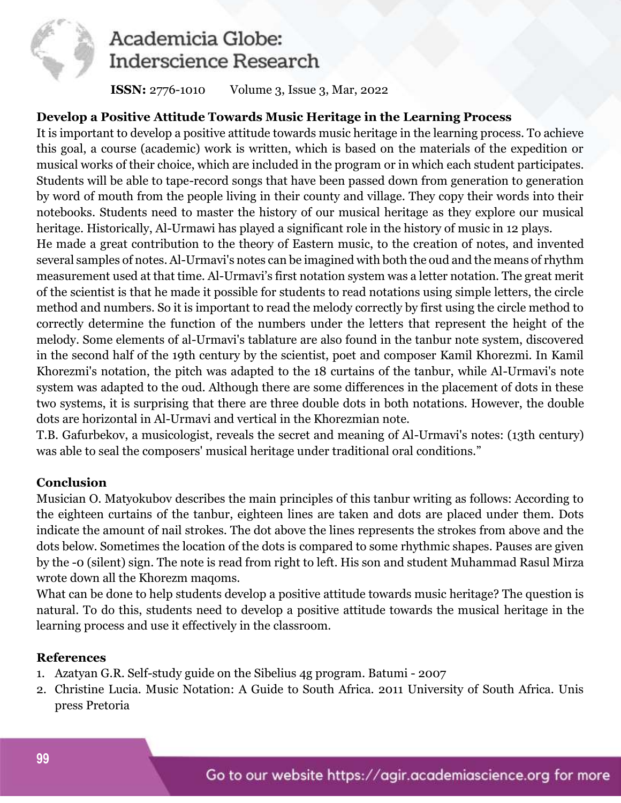

**ISSN:** 2776-1010 Volume 3, Issue 3, Mar, 2022

### **Develop a Positive Attitude Towards Music Heritage in the Learning Process**

It is important to develop a positive attitude towards music heritage in the learning process. To achieve this goal, a course (academic) work is written, which is based on the materials of the expedition or musical works of their choice, which are included in the program or in which each student participates. Students will be able to tape-record songs that have been passed down from generation to generation by word of mouth from the people living in their county and village. They copy their words into their notebooks. Students need to master the history of our musical heritage as they explore our musical heritage. Historically, Al-Urmawi has played a significant role in the history of music in 12 plays.

He made a great contribution to the theory of Eastern music, to the creation of notes, and invented several samples of notes. Al-Urmavi's notes can be imagined with both the oud and the means of rhythm measurement used at that time. Al-Urmavi's first notation system was a letter notation. The great merit of the scientist is that he made it possible for students to read notations using simple letters, the circle method and numbers. So it is important to read the melody correctly by first using the circle method to correctly determine the function of the numbers under the letters that represent the height of the melody. Some elements of al-Urmavi's tablature are also found in the tanbur note system, discovered in the second half of the 19th century by the scientist, poet and composer Kamil Khorezmi. In Kamil Khorezmi's notation, the pitch was adapted to the 18 curtains of the tanbur, while Al-Urmavi's note system was adapted to the oud. Although there are some differences in the placement of dots in these two systems, it is surprising that there are three double dots in both notations. However, the double dots are horizontal in Al-Urmavi and vertical in the Khorezmian note.

T.B. Gafurbekov, a musicologist, reveals the secret and meaning of Al-Urmavi's notes: (13th century) was able to seal the composers' musical heritage under traditional oral conditions."

### **Conclusion**

Musician O. Matyokubov describes the main principles of this tanbur writing as follows: According to the eighteen curtains of the tanbur, eighteen lines are taken and dots are placed under them. Dots indicate the amount of nail strokes. The dot above the lines represents the strokes from above and the dots below. Sometimes the location of the dots is compared to some rhythmic shapes. Pauses are given by the -0 (silent) sign. The note is read from right to left. His son and student Muhammad Rasul Mirza wrote down all the Khorezm maqoms.

What can be done to help students develop a positive attitude towards music heritage? The question is natural. To do this, students need to develop a positive attitude towards the musical heritage in the learning process and use it effectively in the classroom.

#### **References**

- 1. Azatyan G.R. Self-study guide on the Sibelius 4g program. Batumi 2007
- 2. Christine Lucia. Music Notation: A Guide to South Africa. 2011 University of South Africa. Unis press Pretoria